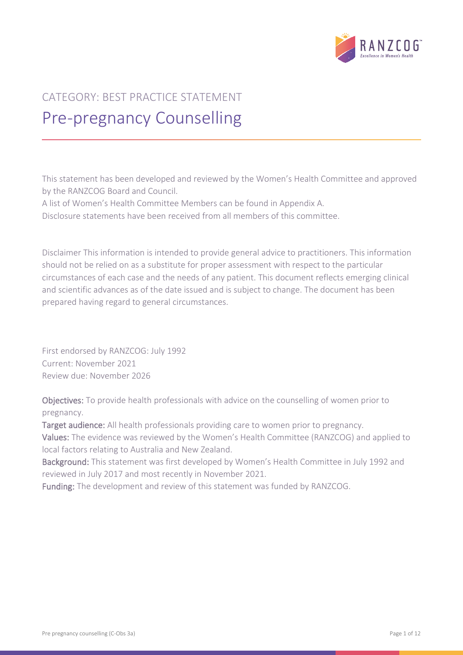

# CATEGORY: BEST PRACTICE STATEMENT Pre-pregnancy Counselling

This statement has been developed and reviewed by the Women's Health Committee and approved by the RANZCOG Board and Council.

A list of Women's Health Committee Members can be found in Appendix A.

Disclosure statements have been received from all members of this committee.

Disclaimer This information is intended to provide general advice to practitioners. This information should not be relied on as a substitute for proper assessment with respect to the particular circumstances of each case and the needs of any patient. This document reflects emerging clinical and scientific advances as of the date issued and is subject to change. The document has been prepared having regard to general circumstances.

First endorsed by RANZCOG: July 1992 Current: November 2021 Review due: November 2026

Objectives: To provide health professionals with advice on the counselling of women prior to pregnancy.

Target audience: All health professionals providing care to women prior to pregnancy.

Values: The evidence was reviewed by the Women's Health Committee (RANZCOG) and applied to local factors relating to Australia and New Zealand.

Background: This statement was first developed by Women's Health Committee in July 1992 and reviewed in July 2017 and most recently in November 2021.

Funding: The development and review of this statement was funded by RANZCOG.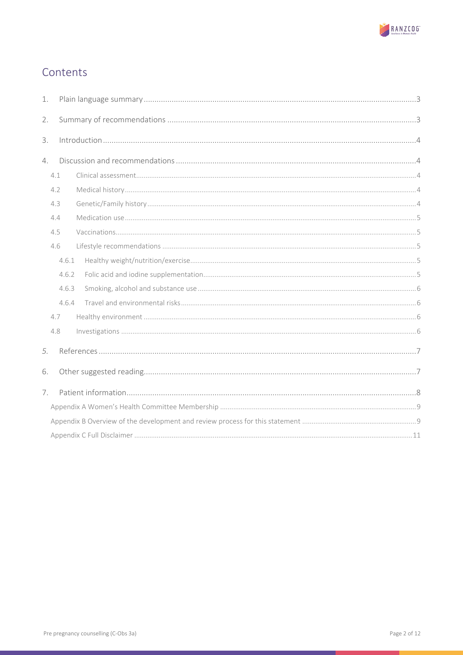

## Contents

| 1. |     |       |  |  |  |  |  |
|----|-----|-------|--|--|--|--|--|
| 2. |     |       |  |  |  |  |  |
| 3. |     |       |  |  |  |  |  |
| 4. |     |       |  |  |  |  |  |
|    | 4.1 |       |  |  |  |  |  |
|    | 4.2 |       |  |  |  |  |  |
|    | 4.3 |       |  |  |  |  |  |
|    | 4.4 |       |  |  |  |  |  |
|    | 4.5 |       |  |  |  |  |  |
|    | 4.6 |       |  |  |  |  |  |
|    |     | 4.6.1 |  |  |  |  |  |
|    |     | 4.6.2 |  |  |  |  |  |
|    |     | 4.6.3 |  |  |  |  |  |
|    |     | 4.6.4 |  |  |  |  |  |
|    | 4.7 |       |  |  |  |  |  |
|    | 4.8 |       |  |  |  |  |  |
| 5. |     |       |  |  |  |  |  |
| 6. |     |       |  |  |  |  |  |
| 7. |     |       |  |  |  |  |  |
|    |     |       |  |  |  |  |  |
|    |     |       |  |  |  |  |  |
|    |     |       |  |  |  |  |  |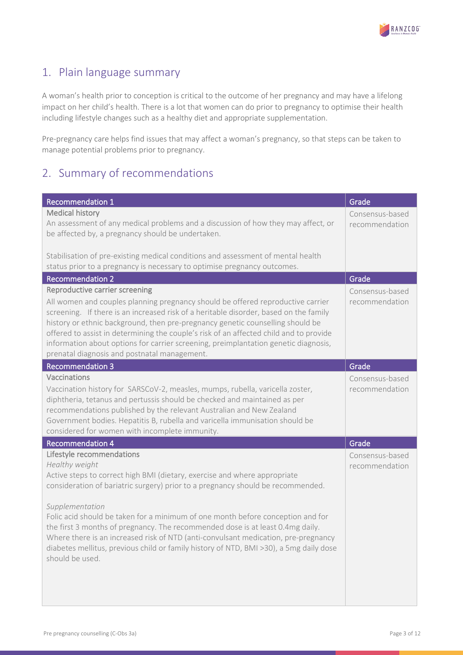

### <span id="page-2-0"></span>1. Plain language summary

A woman's health prior to conception is critical to the outcome of her pregnancy and may have a lifelong impact on her child's health. There is a lot that women can do prior to pregnancy to optimise their health including lifestyle changes such as a healthy diet and appropriate supplementation.

Pre-pregnancy care helps find issues that may affect a woman's pregnancy, so that steps can be taken to manage potential problems prior to pregnancy.

### <span id="page-2-1"></span>2. Summary of recommendations

| <b>Recommendation 1</b>                                                                                                                                                                                                                                                                                                                                                                                                                                                                                                                                                                                | Grade                             |
|--------------------------------------------------------------------------------------------------------------------------------------------------------------------------------------------------------------------------------------------------------------------------------------------------------------------------------------------------------------------------------------------------------------------------------------------------------------------------------------------------------------------------------------------------------------------------------------------------------|-----------------------------------|
| Medical history<br>An assessment of any medical problems and a discussion of how they may affect, or<br>be affected by, a pregnancy should be undertaken.                                                                                                                                                                                                                                                                                                                                                                                                                                              | Consensus-based<br>recommendation |
| Stabilisation of pre-existing medical conditions and assessment of mental health<br>status prior to a pregnancy is necessary to optimise pregnancy outcomes.                                                                                                                                                                                                                                                                                                                                                                                                                                           |                                   |
| Recommendation 2                                                                                                                                                                                                                                                                                                                                                                                                                                                                                                                                                                                       | Grade                             |
| Reproductive carrier screening<br>All women and couples planning pregnancy should be offered reproductive carrier<br>screening. If there is an increased risk of a heritable disorder, based on the family<br>history or ethnic background, then pre-pregnancy genetic counselling should be<br>offered to assist in determining the couple's risk of an affected child and to provide<br>information about options for carrier screening, preimplantation genetic diagnosis,<br>prenatal diagnosis and postnatal management.                                                                          | Consensus-based<br>recommendation |
| <b>Recommendation 3</b>                                                                                                                                                                                                                                                                                                                                                                                                                                                                                                                                                                                | Grade                             |
| Vaccinations<br>Vaccination history for SARSCoV-2, measles, mumps, rubella, varicella zoster,<br>diphtheria, tetanus and pertussis should be checked and maintained as per<br>recommendations published by the relevant Australian and New Zealand<br>Government bodies. Hepatitis B, rubella and varicella immunisation should be<br>considered for women with incomplete immunity.                                                                                                                                                                                                                   | Consensus-based<br>recommendation |
| <b>Recommendation 4</b>                                                                                                                                                                                                                                                                                                                                                                                                                                                                                                                                                                                | Grade                             |
| Lifestyle recommendations<br>Healthy weight<br>Active steps to correct high BMI (dietary, exercise and where appropriate<br>consideration of bariatric surgery) prior to a pregnancy should be recommended.<br>Supplementation<br>Folic acid should be taken for a minimum of one month before conception and for<br>the first 3 months of pregnancy. The recommended dose is at least 0.4mg daily.<br>Where there is an increased risk of NTD (anti-convulsant medication, pre-pregnancy<br>diabetes mellitus, previous child or family history of NTD, BMI >30), a 5mg daily dose<br>should be used. | Consensus-based<br>recommendation |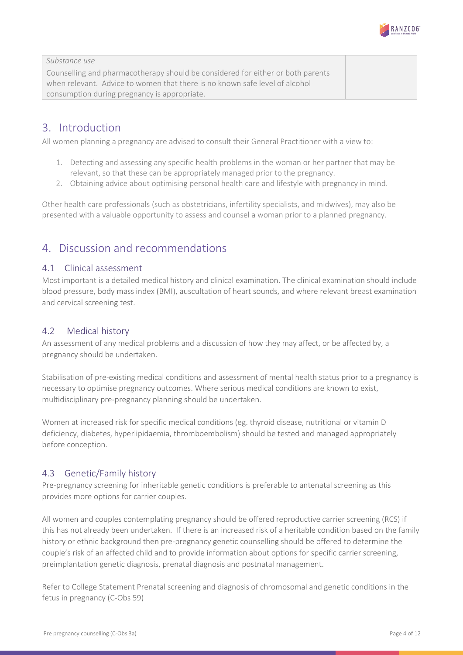

*Substance use* Counselling and pharmacotherapy should be considered for either or both parents when relevant. Advice to women that there is no known safe level of alcohol consumption during pregnancy is appropriate.

### <span id="page-3-0"></span>3. Introduction

All women planning a pregnancy are advised to consult their General Practitioner with a view to:

- 1. Detecting and assessing any specific health problems in the woman or her partner that may be relevant, so that these can be appropriately managed prior to the pregnancy.
- 2. Obtaining advice about optimising personal health care and lifestyle with pregnancy in mind.

Other health care professionals (such as obstetricians, infertility specialists, and midwives), may also be presented with a valuable opportunity to assess and counsel a woman prior to a planned pregnancy.

### <span id="page-3-1"></span>4. Discussion and recommendations

#### <span id="page-3-2"></span>4.1 Clinical assessment

Most important is a detailed medical history and clinical examination. The clinical examination should include blood pressure, body mass index (BMI), auscultation of heart sounds, and where relevant breast examination and cervical screening test.

#### <span id="page-3-3"></span>4.2 Medical history

An assessment of any medical problems and a discussion of how they may affect, or be affected by, a pregnancy should be undertaken.

Stabilisation of pre-existing medical conditions and assessment of mental health status prior to a pregnancy is necessary to optimise pregnancy outcomes. Where serious medical conditions are known to exist, multidisciplinary pre-pregnancy planning should be undertaken.

Women at increased risk for specific medical conditions (eg. thyroid disease, nutritional or vitamin D deficiency, diabetes, hyperlipidaemia, thromboembolism) should be tested and managed appropriately before conception.

#### <span id="page-3-4"></span>4.3 Genetic/Family history

Pre-pregnancy screening for inheritable genetic conditions is preferable to antenatal screening as this provides more options for carrier couples.

All women and couples contemplating pregnancy should be offered reproductive carrier screening (RCS) if this has not already been undertaken. If there is an increased risk of a heritable condition based on the family history or ethnic background then pre-pregnancy genetic counselling should be offered to determine the couple's risk of an affected child and to provide information about options for specific carrier screening, preimplantation genetic diagnosis, prenatal diagnosis and postnatal management.

Refer to College Statement Prenatal screening and diagnosis of chromosomal and genetic conditions in the fetus in pregnancy (C-Obs 59)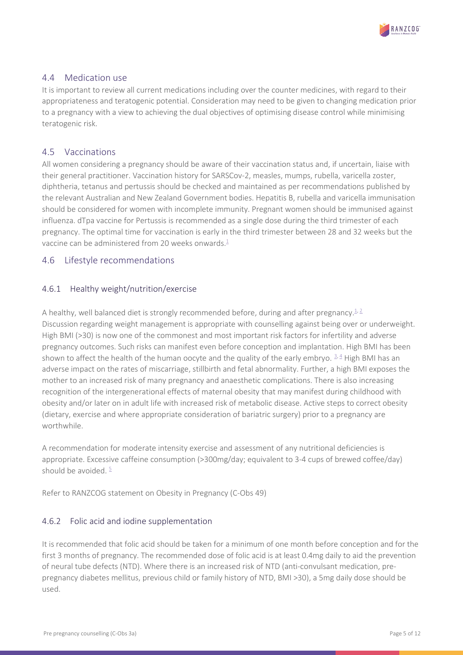

#### <span id="page-4-0"></span>4.4 Medication use

It is important to review all current medications including over the counter medicines, with regard to their appropriateness and teratogenic potential. Consideration may need to be given to changing medication prior to a pregnancy with a view to achieving the dual objectives of optimising disease control while minimising teratogenic risk.

#### <span id="page-4-1"></span>4.5 Vaccinations

All women considering a pregnancy should be aware of their vaccination status and, if uncertain, liaise with their general practitioner. Vaccination history for SARSCov-2, measles, mumps, rubella, varicella zoster, diphtheria, tetanus and pertussis should be checked and maintained as per recommendations published by the relevant Australian and New Zealand Government bodies. Hepatitis B, rubella and varicella immunisation should be considered for women with incomplete immunity. Pregnant women should be immunised against influenza. dTpa vaccine for Pertussis is recommended as a single dose during the third trimester of each pregnancy. The optimal time for vaccination is early in the third trimester between 28 and 32 weeks but the vaccine can be administered from 20 weeks onwards. $\frac{1}{2}$ 

#### <span id="page-4-2"></span>4.6 Lifestyle recommendations

#### <span id="page-4-3"></span>4.6.1 Healthy weight/nutrition/exercise

A healthy, well balanced diet is strongly recommended before, during and after pregnancy.<sup>1,2</sup> Discussion regarding weight management is appropriate with counselling against being over or underweight. High BMI (>30) is now one of the commonest and most important risk factors for infertility and adverse pregnancy outcomes. Such risks can manifest even before conception and implantation. High BMI has been shown to affect the health of the human oocyte and the quality of the early embryo.  $3.4$  High BMI has an adverse impact on the rates of miscarriage, stillbirth and fetal abnormality. Further, a high BMI exposes the mother to an increased risk of many pregnancy and anaesthetic complications. There is also increasing recognition of the intergenerational effects of maternal obesity that may manifest during childhood with obesity and/or later on in adult life with increased risk of metabolic disease. Active steps to correct obesity (dietary, exercise and where appropriate consideration of bariatric surgery) prior to a pregnancy are worthwhile.

A recommendation for moderate intensity exercise and assessment of any nutritional deficiencies is appropriate. Excessive caffeine consumption (>300mg/day; equivalent to 3-4 cups of brewed coffee/day) should be avoided.  $\frac{5}{2}$ 

Refer to RANZCOG statement on Obesity in Pregnancy (C-Obs 49)

#### <span id="page-4-4"></span>4.6.2 Folic acid and iodine supplementation

It is recommended that folic acid should be taken for a minimum of one month before conception and for the first 3 months of pregnancy. The recommended dose of folic acid is at least 0.4mg daily to aid the prevention of neural tube defects (NTD). Where there is an increased risk of NTD (anti-convulsant medication, prepregnancy diabetes mellitus, previous child or family history of NTD, BMI >30), a 5mg daily dose should be used.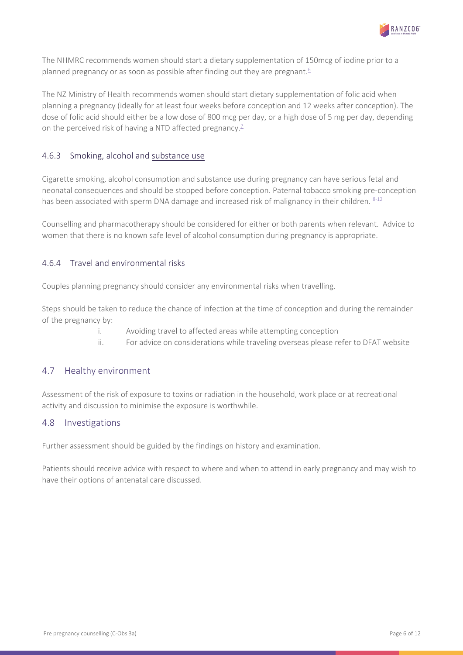

The NHMRC recommends women should start a dietary supplementation of 150mcg of iodine prior to a planned pregnancy or as soon as possible after finding out they are pregnant.<sup>6</sup>

The NZ Ministry of Health recommends women should start dietary supplementation of folic acid when planning a pregnancy (ideally for at least four weeks before conception and 12 weeks after conception). The dose of folic acid should either be a low dose of 800 mcg per day, or a high dose of 5 mg per day, depending on the perceived risk of having a NTD affected pregnancy.<sup>7</sup>

#### <span id="page-5-0"></span>4.6.3 Smoking, alcohol and substance use

Cigarette smoking, alcohol consumption and substance use during pregnancy can have serious fetal and neonatal consequences and should be stopped before conception. Paternal tobacco smoking pre-conception has been associated with sperm DNA damage and increased risk of malignancy in their children.  $8-12$ 

Counselling and pharmacotherapy should be considered for either or both parents when relevant. Advice to women that there is no known safe level of alcohol consumption during pregnancy is appropriate.

#### <span id="page-5-1"></span>4.6.4 Travel and environmental risks

Couples planning pregnancy should consider any environmental risks when travelling.

Steps should be taken to reduce the chance of infection at the time of conception and during the remainder of the pregnancy by:

- i. Avoiding travel to affected areas while attempting conception
- ii. For advice on considerations while traveling overseas please refer to DFAT website

#### <span id="page-5-2"></span>4.7 Healthy environment

Assessment of the risk of exposure to toxins or radiation in the household, work place or at recreational activity and discussion to minimise the exposure is worthwhile.

#### <span id="page-5-3"></span>4.8 Investigations

Further assessment should be guided by the findings on history and examination.

Patients should receive advice with respect to where and when to attend in early pregnancy and may wish to have their options of antenatal care discussed.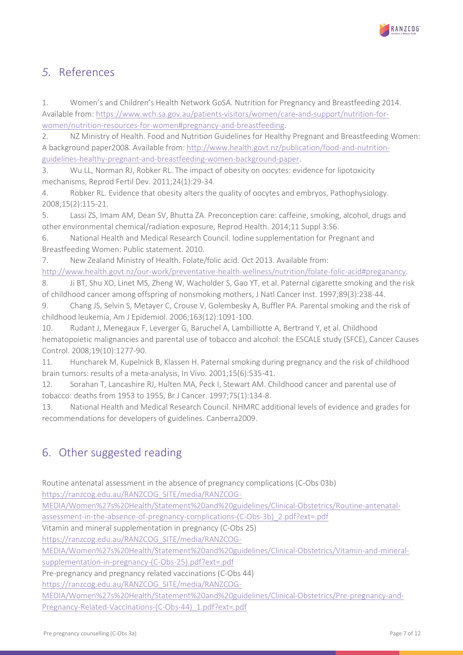

### <span id="page-6-0"></span>*5.* References

<span id="page-6-2"></span>1. Women's and Children's Health Network GoSA. Nutrition for Pregnancy and Breastfeeding 2014. Available from: [https://www.wch.sa.gov.au/patients-visitors/women/care-and-support/nutrition-for](https://www.wch.sa.gov.au/patients-visitors/women/care-and-support/nutrition-for-women/nutrition-resources-for-women#pregnancy-and-breastfeeding)[women/nutrition-resources-for-women#pregnancy-and-breastfeeding.](https://www.wch.sa.gov.au/patients-visitors/women/care-and-support/nutrition-for-women/nutrition-resources-for-women#pregnancy-and-breastfeeding)

<span id="page-6-3"></span>2. NZ Ministry of Health. Food and Nutrition Guidelines for Healthy Pregnant and Breastfeeding Women: A background paper2008. Available from: [http://www.health.govt.nz/publication/food-and-nutrition](http://www.health.govt.nz/publication/food-and-nutrition-guidelines-healthy-pregnant-and-breastfeeding-women-background-paper)[guidelines-healthy-pregnant-and-breastfeeding-women-background-paper.](http://www.health.govt.nz/publication/food-and-nutrition-guidelines-healthy-pregnant-and-breastfeeding-women-background-paper)

<span id="page-6-4"></span>3. Wu LL, Norman RJ, Robker RL. The impact of obesity on oocytes: evidence for lipotoxicity mechanisms, Reprod Fertil Dev. 2011;24(1):29-34.

<span id="page-6-5"></span>4. Robker RL. Evidence that obesity alters the quality of oocytes and embryos, Pathophysiology. 2008;15(2):115-21.

<span id="page-6-6"></span>5. Lassi ZS, Imam AM, Dean SV, Bhutta ZA. Preconception care: caffeine, smoking, alcohol, drugs and other environmental chemical/radiation exposure, Reprod Health. 2014;11 Suppl 3:S6.

<span id="page-6-7"></span>6. National Health and Medical Research Council. Iodine supplementation for Pregnant and Breastfeeding Women: Public statement. 2010.

<span id="page-6-8"></span>7. New Zealand Ministry of Health. Folate/folic acid. Oct 2013. Available from:

<span id="page-6-9"></span>[http://www.health.govt.nz/our-work/preventative-health-wellness/nutrition/folate-folic-acid#preganancy.](http://www.health.govt.nz/our-work/preventative-health-wellness/nutrition/folate-folic-acid#preganancy) 8. Ji BT, Shu XO, Linet MS, Zheng W, Wacholder S, Gao YT, et al. Paternal cigarette smoking and the risk of childhood cancer among offspring of nonsmoking mothers, J Natl Cancer Inst. 1997;89(3):238-44.

9. Chang JS, Selvin S, Metayer C, Crouse V, Golembesky A, Buffler PA. Parental smoking and the risk of childhood leukemia, Am J Epidemiol. 2006;163(12):1091-100.

10. Rudant J, Menegaux F, Leverger G, Baruchel A, Lambilliotte A, Bertrand Y, et al. Childhood hematopoietic malignancies and parental use of tobacco and alcohol: the ESCALE study (SFCE), Cancer Causes Control. 2008;19(10):1277-90.

11. Huncharek M, Kupelnick B, Klassen H. Paternal smoking during pregnancy and the risk of childhood brain tumors: results of a meta-analysis, In Vivo. 2001;15(6):535-41.

12. Sorahan T, Lancashire RJ, Hulten MA, Peck I, Stewart AM. Childhood cancer and parental use of tobacco: deaths from 1953 to 1955, Br J Cancer. 1997;75(1):134-8.

<span id="page-6-10"></span>13. National Health and Medical Research Council. NHMRC additional levels of evidence and grades for recommendations for developers of guidelines. Canberra2009.

### <span id="page-6-1"></span>6. Other suggested reading

Routine antenatal assessment in the absence of pregnancy complications (C-Obs 03b)

[https://ranzcog.edu.au/RANZCOG\\_SITE/media/RANZCOG-](https://ranzcog.edu.au/RANZCOG_SITE/media/RANZCOG-MEDIA/Women%27s%20Health/Statement%20and%20guidelines/Clinical-Obstetrics/Routine-antenatal-assessment-in-the-absence-of-pregnancy-complications-(C-Obs-3b)_2.pdf?ext=.pdf%20)

[MEDIA/Women%27s%20Health/Statement%20and%20guidelines/Clinical-Obstetrics/Routine-antenatal-](https://ranzcog.edu.au/RANZCOG_SITE/media/RANZCOG-MEDIA/Women%27s%20Health/Statement%20and%20guidelines/Clinical-Obstetrics/Routine-antenatal-assessment-in-the-absence-of-pregnancy-complications-(C-Obs-3b)_2.pdf?ext=.pdf%20)

[assessment-in-the-absence-of-pregnancy-complications-\(C-Obs-3b\)\\_2.pdf?ext=.pdf](https://ranzcog.edu.au/RANZCOG_SITE/media/RANZCOG-MEDIA/Women%27s%20Health/Statement%20and%20guidelines/Clinical-Obstetrics/Routine-antenatal-assessment-in-the-absence-of-pregnancy-complications-(C-Obs-3b)_2.pdf?ext=.pdf%20)

Vitamin and mineral supplementation in pregnancy (C-Obs 25)

[https://ranzcog.edu.au/RANZCOG\\_SITE/media/RANZCOG-](https://ranzcog.edu.au/RANZCOG_SITE/media/RANZCOG-MEDIA/Women%27s%20Health/Statement%20and%20guidelines/Clinical-Obstetrics/Vitamin-and-mineral-supplementation-in-pregnancy-(C-Obs-25).pdf?ext=.pdf)

[MEDIA/Women%27s%20Health/Statement%20and%20guidelines/Clinical-Obstetrics/Vitamin-and-mineral-](https://ranzcog.edu.au/RANZCOG_SITE/media/RANZCOG-MEDIA/Women%27s%20Health/Statement%20and%20guidelines/Clinical-Obstetrics/Vitamin-and-mineral-supplementation-in-pregnancy-(C-Obs-25).pdf?ext=.pdf)

[supplementation-in-pregnancy-\(C-Obs-25\).pdf?ext=.pdf](https://ranzcog.edu.au/RANZCOG_SITE/media/RANZCOG-MEDIA/Women%27s%20Health/Statement%20and%20guidelines/Clinical-Obstetrics/Vitamin-and-mineral-supplementation-in-pregnancy-(C-Obs-25).pdf?ext=.pdf)

Pre-pregnancy and pregnancy related vaccinations (C-Obs 44)

[https://ranzcog.edu.au/RANZCOG\\_SITE/media/RANZCOG-](https://ranzcog.edu.au/RANZCOG_SITE/media/RANZCOG-MEDIA/Women%27s%20Health/Statement%20and%20guidelines/Clinical-Obstetrics/Pre-pregnancy-and-Pregnancy-Related-Vaccinations-(C-Obs-44)_1.pdf?ext=.pdf%20)

[MEDIA/Women%27s%20Health/Statement%20and%20guidelines/Clinical-Obstetrics/Pre-pregnancy-and-](https://ranzcog.edu.au/RANZCOG_SITE/media/RANZCOG-MEDIA/Women%27s%20Health/Statement%20and%20guidelines/Clinical-Obstetrics/Pre-pregnancy-and-Pregnancy-Related-Vaccinations-(C-Obs-44)_1.pdf?ext=.pdf%20)[Pregnancy-Related-Vaccinations-\(C-Obs-44\)\\_1.pdf?ext=.pdf](https://ranzcog.edu.au/RANZCOG_SITE/media/RANZCOG-MEDIA/Women%27s%20Health/Statement%20and%20guidelines/Clinical-Obstetrics/Pre-pregnancy-and-Pregnancy-Related-Vaccinations-(C-Obs-44)_1.pdf?ext=.pdf%20)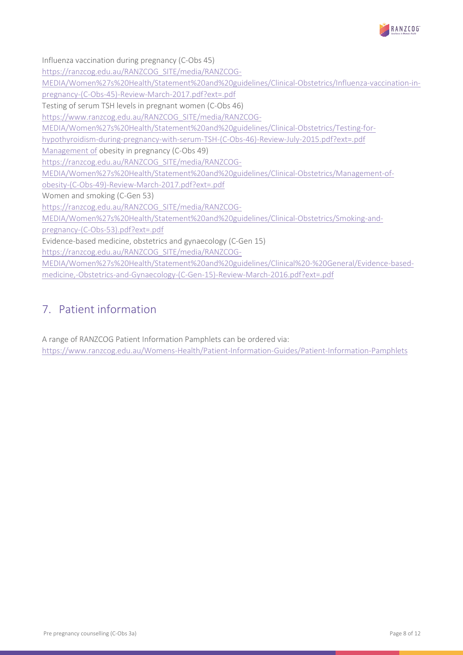

Influenza vaccination during pregnancy (C-Obs 45)

[https://ranzcog.edu.au/RANZCOG\\_SITE/media/RANZCOG-](https://ranzcog.edu.au/RANZCOG_SITE/media/RANZCOG-MEDIA/Women%27s%20Health/Statement%20and%20guidelines/Clinical-Obstetrics/Influenza-vaccination-in-pregnancy-(C-Obs-45)-Review-March-2017.pdf?ext=.pdf%20)

[MEDIA/Women%27s%20Health/Statement%20and%20guidelines/Clinical-Obstetrics/Influenza-vaccination-in-](https://ranzcog.edu.au/RANZCOG_SITE/media/RANZCOG-MEDIA/Women%27s%20Health/Statement%20and%20guidelines/Clinical-Obstetrics/Influenza-vaccination-in-pregnancy-(C-Obs-45)-Review-March-2017.pdf?ext=.pdf%20)

[pregnancy-\(C-Obs-45\)-Review-March-2017.pdf?ext=.pdf](https://ranzcog.edu.au/RANZCOG_SITE/media/RANZCOG-MEDIA/Women%27s%20Health/Statement%20and%20guidelines/Clinical-Obstetrics/Influenza-vaccination-in-pregnancy-(C-Obs-45)-Review-March-2017.pdf?ext=.pdf%20)

Testing of serum TSH levels in pregnant women (C-Obs 46)

[https://www.ranzcog.edu.au/RANZCOG\\_SITE/media/RANZCOG-](https://www.ranzcog.edu.au/RANZCOG_SITE/media/RANZCOG-MEDIA/Women%27s%20Health/Statement%20and%20guidelines/Clinical-Obstetrics/Testing-for-hypothyroidism-during-pregnancy-with-serum-TSH-(C-Obs-46)-Review-July-2015.pdf?ext=.pdf)

[MEDIA/Women%27s%20Health/Statement%20and%20guidelines/Clinical-Obstetrics/Testing-for-](https://www.ranzcog.edu.au/RANZCOG_SITE/media/RANZCOG-MEDIA/Women%27s%20Health/Statement%20and%20guidelines/Clinical-Obstetrics/Testing-for-hypothyroidism-during-pregnancy-with-serum-TSH-(C-Obs-46)-Review-July-2015.pdf?ext=.pdf)

[hypothyroidism-during-pregnancy-with-serum-TSH-\(C-Obs-46\)-Review-July-2015.pdf?ext=.pdf](https://www.ranzcog.edu.au/RANZCOG_SITE/media/RANZCOG-MEDIA/Women%27s%20Health/Statement%20and%20guidelines/Clinical-Obstetrics/Testing-for-hypothyroidism-during-pregnancy-with-serum-TSH-(C-Obs-46)-Review-July-2015.pdf?ext=.pdf)

[Management of](http://www.ranzcog.edu.au/doc/management-of-obesity-in-pregnancy.html) obesity in pregnancy (C-Obs 49)

[https://ranzcog.edu.au/RANZCOG\\_SITE/media/RANZCOG-](https://ranzcog.edu.au/RANZCOG_SITE/media/RANZCOG-MEDIA/Women%27s%20Health/Statement%20and%20guidelines/Clinical-Obstetrics/Management-of-obesity-(C-Obs-49)-Review-March-2017.pdf?ext=.pdf)

[MEDIA/Women%27s%20Health/Statement%20and%20guidelines/Clinical-Obstetrics/Management-of-](https://ranzcog.edu.au/RANZCOG_SITE/media/RANZCOG-MEDIA/Women%27s%20Health/Statement%20and%20guidelines/Clinical-Obstetrics/Management-of-obesity-(C-Obs-49)-Review-March-2017.pdf?ext=.pdf)

[obesity-\(C-Obs-49\)-Review-March-2017.pdf?ext=.pdf](https://ranzcog.edu.au/RANZCOG_SITE/media/RANZCOG-MEDIA/Women%27s%20Health/Statement%20and%20guidelines/Clinical-Obstetrics/Management-of-obesity-(C-Obs-49)-Review-March-2017.pdf?ext=.pdf)

Women and smoking (C-Gen 53)

[https://ranzcog.edu.au/RANZCOG\\_SITE/media/RANZCOG-](https://ranzcog.edu.au/RANZCOG_SITE/media/RANZCOG-MEDIA/Women%27s%20Health/Statement%20and%20guidelines/Clinical-Obstetrics/Smoking-and-pregnancy-(C-Obs-53).pdf?ext=.pdf)

[MEDIA/Women%27s%20Health/Statement%20and%20guidelines/Clinical-Obstetrics/Smoking-and-](https://ranzcog.edu.au/RANZCOG_SITE/media/RANZCOG-MEDIA/Women%27s%20Health/Statement%20and%20guidelines/Clinical-Obstetrics/Smoking-and-pregnancy-(C-Obs-53).pdf?ext=.pdf)

[pregnancy-\(C-Obs-53\).pdf?ext=.pdf](https://ranzcog.edu.au/RANZCOG_SITE/media/RANZCOG-MEDIA/Women%27s%20Health/Statement%20and%20guidelines/Clinical-Obstetrics/Smoking-and-pregnancy-(C-Obs-53).pdf?ext=.pdf)

Evidence-based medicine, obstetrics and gynaecology (C-Gen 15)

[https://ranzcog.edu.au/RANZCOG\\_SITE/media/RANZCOG-](https://ranzcog.edu.au/RANZCOG_SITE/media/RANZCOG-MEDIA/Women%27s%20Health/Statement%20and%20guidelines/Clinical%20-%20General/Evidence-based-medicine,-Obstetrics-and-Gynaecology-(C-Gen-15)-Review-March-2016.pdf?ext=.pdf)

[MEDIA/Women%27s%20Health/Statement%20and%20guidelines/Clinical%20-%20General/Evidence-based](https://ranzcog.edu.au/RANZCOG_SITE/media/RANZCOG-MEDIA/Women%27s%20Health/Statement%20and%20guidelines/Clinical%20-%20General/Evidence-based-medicine,-Obstetrics-and-Gynaecology-(C-Gen-15)-Review-March-2016.pdf?ext=.pdf)[medicine,-Obstetrics-and-Gynaecology-\(C-Gen-15\)-Review-March-2016.pdf?ext=.pdf](https://ranzcog.edu.au/RANZCOG_SITE/media/RANZCOG-MEDIA/Women%27s%20Health/Statement%20and%20guidelines/Clinical%20-%20General/Evidence-based-medicine,-Obstetrics-and-Gynaecology-(C-Gen-15)-Review-March-2016.pdf?ext=.pdf)

### <span id="page-7-0"></span>7. Patient information

A range of RANZCOG Patient Information Pamphlets can be ordered via: <https://www.ranzcog.edu.au/Womens-Health/Patient-Information-Guides/Patient-Information-Pamphlets>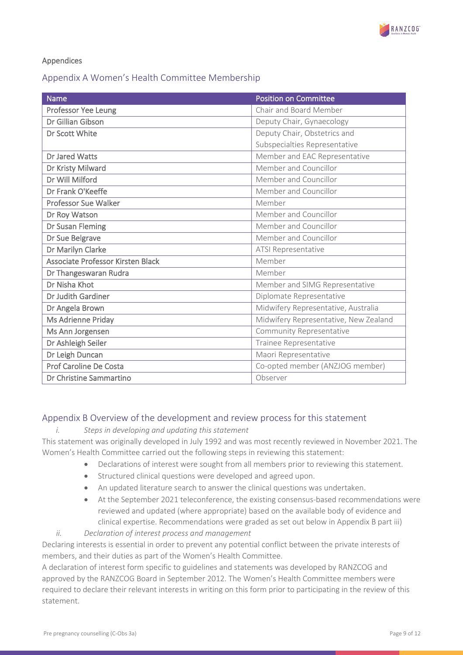

#### Appendices

#### <span id="page-8-0"></span>Appendix A Women's Health Committee Membership

| <b>Name</b>                       | <b>Position on Committee</b>          |
|-----------------------------------|---------------------------------------|
| Professor Yee Leung               | Chair and Board Member                |
| Dr Gillian Gibson                 | Deputy Chair, Gynaecology             |
| Dr Scott White                    | Deputy Chair, Obstetrics and          |
|                                   | Subspecialties Representative         |
| Dr Jared Watts                    | Member and EAC Representative         |
| Dr Kristy Milward                 | Member and Councillor                 |
| Dr Will Milford                   | Member and Councillor                 |
| Dr Frank O'Keeffe                 | Member and Councillor                 |
| <b>Professor Sue Walker</b>       | Member                                |
| Dr Roy Watson                     | Member and Councillor                 |
| Dr Susan Fleming                  | Member and Councillor                 |
| Dr Sue Belgrave                   | Member and Councillor                 |
| Dr Marilyn Clarke                 | ATSI Representative                   |
| Associate Professor Kirsten Black | Member                                |
| Dr Thangeswaran Rudra             | Member                                |
| Dr Nisha Khot                     | Member and SIMG Representative        |
| Dr Judith Gardiner                | Diplomate Representative              |
| Dr Angela Brown                   | Midwifery Representative, Australia   |
| Ms Adrienne Priday                | Midwifery Representative, New Zealand |
| Ms Ann Jorgensen                  | Community Representative              |
| Dr Ashleigh Seiler                | Trainee Representative                |
| Dr Leigh Duncan                   | Maori Representative                  |
| Prof Caroline De Costa            | Co-opted member (ANZJOG member)       |
| Dr Christine Sammartino           | Observer                              |

#### <span id="page-8-1"></span>Appendix B Overview of the development and review process for this statement

#### *i. Steps in developing and updating this statement*

This statement was originally developed in July 1992 and was most recently reviewed in November 2021. The Women's Health Committee carried out the following steps in reviewing this statement:

- Declarations of interest were sought from all members prior to reviewing this statement.
- Structured clinical questions were developed and agreed upon.
- An updated literature search to answer the clinical questions was undertaken.
- At the September 2021 teleconference, the existing consensus-based recommendations were reviewed and updated (where appropriate) based on the available body of evidence and clinical expertise. Recommendations were graded as set out below in Appendix B part iii)
- *ii. Declaration of interest process and management*

Declaring interests is essential in order to prevent any potential conflict between the private interests of members, and their duties as part of the Women's Health Committee.

A declaration of interest form specific to guidelines and statements was developed by RANZCOG and approved by the RANZCOG Board in September 2012. The Women's Health Committee members were required to declare their relevant interests in writing on this form prior to participating in the review of this statement.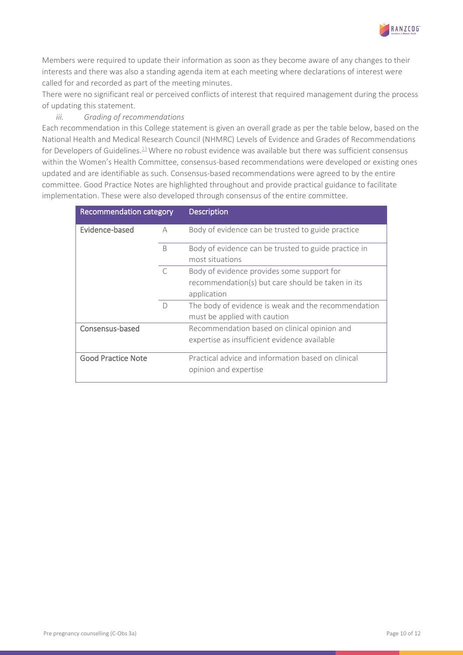

Members were required to update their information as soon as they become aware of any changes to their interests and there was also a standing agenda item at each meeting where declarations of interest were called for and recorded as part of the meeting minutes.

There were no significant real or perceived conflicts of interest that required management during the process of updating this statement.

#### *iii. Grading of recommendations*

Each recommendation in this College statement is given an overall grade as per the table below, based on the National Health and Medical Research Council (NHMRC) Levels of Evidence and Grades of Recommendations for Developers of Guidelines.<sup>13</sup> Where no robust evidence was available but there was sufficient consensus within the Women's Health Committee, consensus-based recommendations were developed or existing ones updated and are identifiable as such. Consensus-based recommendations were agreed to by the entire committee. Good Practice Notes are highlighted throughout and provide practical guidance to facilitate implementation. These were also developed through consensus of the entire committee.

| <b>Recommendation category</b> |              | <b>Description</b>                                   |
|--------------------------------|--------------|------------------------------------------------------|
| Evidence-based                 | А            | Body of evidence can be trusted to guide practice    |
|                                | <sub>B</sub> | Body of evidence can be trusted to guide practice in |
|                                |              | most situations                                      |
|                                | $\subset$    | Body of evidence provides some support for           |
|                                |              | recommendation(s) but care should be taken in its    |
|                                |              | application                                          |
|                                | D            | The body of evidence is weak and the recommendation  |
|                                |              | must be applied with caution                         |
| Consensus-based                |              | Recommendation based on clinical opinion and         |
|                                |              | expertise as insufficient evidence available         |
|                                |              |                                                      |
| <b>Good Practice Note</b>      |              | Practical advice and information based on clinical   |
|                                |              | opinion and expertise                                |
|                                |              |                                                      |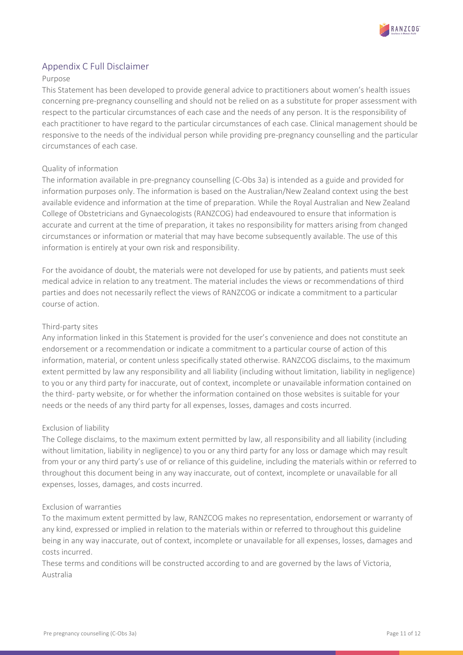

#### <span id="page-10-0"></span>Appendix C Full Disclaimer

#### Purpose

This Statement has been developed to provide general advice to practitioners about women's health issues concerning pre-pregnancy counselling and should not be relied on as a substitute for proper assessment with respect to the particular circumstances of each case and the needs of any person. It is the responsibility of each practitioner to have regard to the particular circumstances of each case. Clinical management should be responsive to the needs of the individual person while providing pre-pregnancy counselling and the particular circumstances of each case.

#### Quality of information

The information available in pre-pregnancy counselling (C-Obs 3a) is intended as a guide and provided for information purposes only. The information is based on the Australian/New Zealand context using the best available evidence and information at the time of preparation. While the Royal Australian and New Zealand College of Obstetricians and Gynaecologists (RANZCOG) had endeavoured to ensure that information is accurate and current at the time of preparation, it takes no responsibility for matters arising from changed circumstances or information or material that may have become subsequently available. The use of this information is entirely at your own risk and responsibility.

For the avoidance of doubt, the materials were not developed for use by patients, and patients must seek medical advice in relation to any treatment. The material includes the views or recommendations of third parties and does not necessarily reflect the views of RANZCOG or indicate a commitment to a particular course of action.

#### Third-party sites

Any information linked in this Statement is provided for the user's convenience and does not constitute an endorsement or a recommendation or indicate a commitment to a particular course of action of this information, material, or content unless specifically stated otherwise. RANZCOG disclaims, to the maximum extent permitted by law any responsibility and all liability (including without limitation, liability in negligence) to you or any third party for inaccurate, out of context, incomplete or unavailable information contained on the third- party website, or for whether the information contained on those websites is suitable for your needs or the needs of any third party for all expenses, losses, damages and costs incurred.

#### Exclusion of liability

The College disclaims, to the maximum extent permitted by law, all responsibility and all liability (including without limitation, liability in negligence) to you or any third party for any loss or damage which may result from your or any third party's use of or reliance of this guideline, including the materials within or referred to throughout this document being in any way inaccurate, out of context, incomplete or unavailable for all expenses, losses, damages, and costs incurred.

#### Exclusion of warranties

To the maximum extent permitted by law, RANZCOG makes no representation, endorsement or warranty of any kind, expressed or implied in relation to the materials within or referred to throughout this guideline being in any way inaccurate, out of context, incomplete or unavailable for all expenses, losses, damages and costs incurred.

These terms and conditions will be constructed according to and are governed by the laws of Victoria, Australia